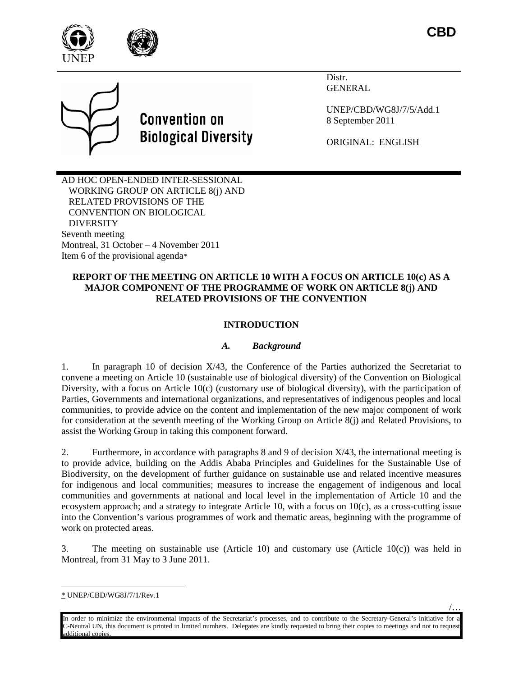





Distr. GENERAL

UNEP/CBD/WG8J/7/5/Add.1 8 September 2011

ORIGINAL: ENGLISH

AD HOC OPEN-ENDED INTER-SESSIONAL WORKING GROUP ON ARTICLE 8(j) AND RELATED PROVISIONS OF THE CONVENTION ON BIOLOGICAL **DIVERSITY** Seventh meeting Montreal, 31 October – 4 November 2011 Item 6 of the provisional agenda[\\*](#page-0-0)

# **REPORT OF THE MEETING ON ARTICLE 10 WITH A FOCUS ON ARTICLE 10(c) AS A MAJOR COMPONENT OF THE PROGRAMME OF WORK ON ARTICLE 8(j) AND RELATED PROVISIONS OF THE CONVENTION**

# **INTRODUCTION**

# *A. Background*

1. In paragraph 10 of decision X/43, the Conference of the Parties authorized the Secretariat to convene a meeting on Article 10 (sustainable use of biological diversity) of the Convention on Biological Diversity, with a focus on Article 10(c) (customary use of biological diversity), with the participation of Parties, Governments and international organizations, and representatives of indigenous peoples and local communities, to provide advice on the content and implementation of the new major component of work for consideration at the seventh meeting of the Working Group on Article 8(j) and Related Provisions, to assist the Working Group in taking this component forward.

2. Furthermore, in accordance with paragraphs 8 and 9 of decision X/43, the international meeting is to provide advice, building on the Addis Ababa Principles and Guidelines for the Sustainable Use of Biodiversity, on the development of further guidance on sustainable use and related incentive measures for indigenous and local communities; measures to increase the engagement of indigenous and local communities and governments at national and local level in the implementation of Article 10 and the ecosystem approach; and a strategy to integrate Article 10, with a focus on 10(c), as a cross-cutting issue into the Convention's various programmes of work and thematic areas, beginning with the programme of work on protected areas.

3. The meeting on sustainable use (Article 10) and customary use (Article 10(c)) was held in Montreal, from 31 May to 3 June 2011.

/…

<span id="page-0-0"></span> <sup>\*</sup> UNEP/CBD/WG8J/7/1/Rev.1

In order to minimize the environmental impacts of the Secretariat's processes, and to contribute to the Secretary-General's initiative for C-Neutral UN, this document is printed in limited numbers. Delegates are kindly requested to bring their copies to meetings and not to request additional copies.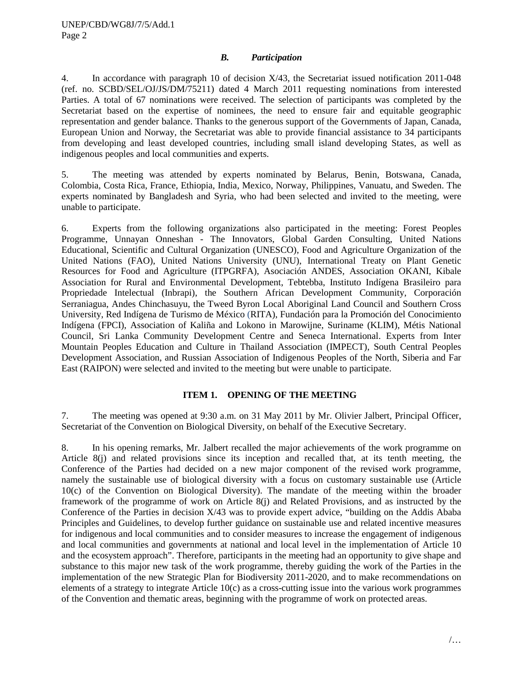#### *B. Participation*

4. In accordance with paragraph 10 of decision X/43, the Secretariat issued notification 2011-048 (ref. no. SCBD/SEL/OJ/JS/DM/75211) dated 4 March 2011 requesting nominations from interested Parties. A total of 67 nominations were received. The selection of participants was completed by the Secretariat based on the expertise of nominees, the need to ensure fair and equitable geographic representation and gender balance. Thanks to the generous support of the Governments of Japan, Canada, European Union and Norway, the Secretariat was able to provide financial assistance to 34 participants from developing and least developed countries, including small island developing States, as well as indigenous peoples and local communities and experts.

5. The meeting was attended by experts nominated by Belarus, Benin, Botswana, Canada, Colombia, Costa Rica, France, Ethiopia, India, Mexico, Norway, Philippines, Vanuatu, and Sweden. The experts nominated by Bangladesh and Syria, who had been selected and invited to the meeting, were unable to participate.

6. Experts from the following organizations also participated in the meeting: Forest Peoples Programme, Unnayan Onneshan - The Innovators, Global Garden Consulting, United Nations Educational, Scientific and Cultural Organization (UNESCO), Food and Agriculture Organization of the United Nations (FAO), United Nations University (UNU), International Treaty on Plant Genetic Resources for Food and Agriculture (ITPGRFA), Asociación ANDES, Association OKANI, Kibale Association for Rural and Environmental Development, Tebtebba, Instituto Indígena Brasileiro para Propriedade Intelectual (Inbrapi), the Southern African Development Community, Corporación Serraniagua, Andes Chinchasuyu, the Tweed Byron Local Aboriginal Land Council and Southern Cross University, Red Indígena de Turismo de México (RITA), Fundación para la Promoción del Conocimiento Indígena (FPCI), Association of Kaliña and Lokono in Marowijne, Suriname (KLIM), Métis National Council, Sri Lanka Community Development Centre and Seneca International. Experts from Inter Mountain Peoples Education and Culture in Thailand Association (IMPECT), South Central Peoples Development Association, and Russian Association of Indigenous Peoples of the North, Siberia and Far East (RAIPON) were selected and invited to the meeting but were unable to participate.

### **ITEM 1. OPENING OF THE MEETING**

7. The meeting was opened at 9:30 a.m. on 31 May 2011 by Mr. Olivier Jalbert, Principal Officer, Secretariat of the Convention on Biological Diversity, on behalf of the Executive Secretary.

8. In his opening remarks, Mr. Jalbert recalled the major achievements of the work programme on Article 8(j) and related provisions since its inception and recalled that, at its tenth meeting, the Conference of the Parties had decided on a new major component of the revised work programme, namely the sustainable use of biological diversity with a focus on customary sustainable use (Article 10(c) of the Convention on Biological Diversity). The mandate of the meeting within the broader framework of the programme of work on Article 8(j) and Related Provisions, and as instructed by the Conference of the Parties in decision X/43 was to provide expert advice, "building on the Addis Ababa Principles and Guidelines, to develop further guidance on sustainable use and related incentive measures for indigenous and local communities and to consider measures to increase the engagement of indigenous and local communities and governments at national and local level in the implementation of Article 10 and the ecosystem approach". Therefore, participants in the meeting had an opportunity to give shape and substance to this major new task of the work programme, thereby guiding the work of the Parties in the implementation of the new Strategic Plan for Biodiversity 2011-2020, and to make recommendations on elements of a strategy to integrate Article 10(c) as a cross-cutting issue into the various work programmes of the Convention and thematic areas, beginning with the programme of work on protected areas.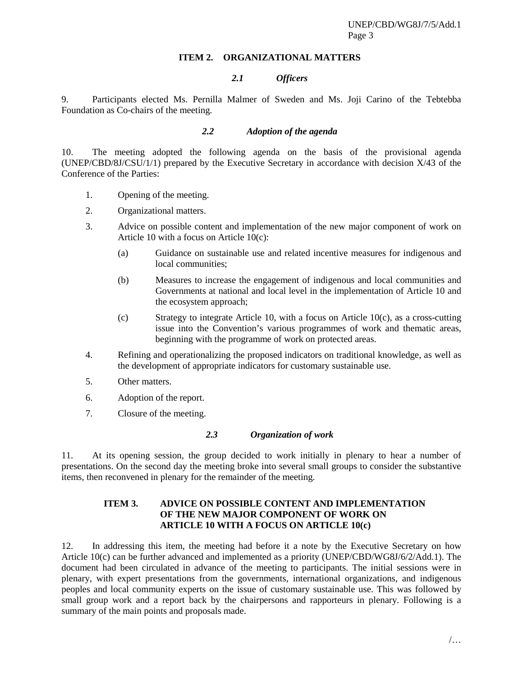#### **ITEM 2. ORGANIZATIONAL MATTERS**

## *2.1 Officers*

9. Participants elected Ms. Pernilla Malmer of Sweden and Ms. Joji Carino of the Tebtebba Foundation as Co-chairs of the meeting.

### *2.2 Adoption of the agenda*

10. The meeting adopted the following agenda on the basis of the provisional agenda (UNEP/CBD/8J/CSU/1/1) prepared by the Executive Secretary in accordance with decision X/43 of the Conference of the Parties:

- 1. Opening of the meeting.
- 2. Organizational matters.
- 3. Advice on possible content and implementation of the new major component of work on Article 10 with a focus on Article 10(c):
	- (a) Guidance on sustainable use and related incentive measures for indigenous and local communities;
	- (b) Measures to increase the engagement of indigenous and local communities and Governments at national and local level in the implementation of Article 10 and the ecosystem approach;
	- (c) Strategy to integrate Article 10, with a focus on Article  $10(c)$ , as a cross-cutting issue into the Convention's various programmes of work and thematic areas, beginning with the programme of work on protected areas.
- 4. Refining and operationalizing the proposed indicators on traditional knowledge, as well as the development of appropriate indicators for customary sustainable use.
- 5. Other matters.
- 6. Adoption of the report.
- 7. Closure of the meeting.

#### *2.3 Organization of work*

11. At its opening session, the group decided to work initially in plenary to hear a number of presentations. On the second day the meeting broke into several small groups to consider the substantive items, then reconvened in plenary for the remainder of the meeting.

### **ITEM 3. ADVICE ON POSSIBLE CONTENT AND IMPLEMENTATION OF THE NEW MAJOR COMPONENT OF WORK ON ARTICLE 10 WITH A FOCUS ON ARTICLE 10(c)**

12. In addressing this item, the meeting had before it a note by the Executive Secretary on how Article 10(c) can be further advanced and implemented as a priority (UNEP/CBD/WG8J/6/2/Add.1). The document had been circulated in advance of the meeting to participants. The initial sessions were in plenary, with expert presentations from the governments, international organizations, and indigenous peoples and local community experts on the issue of customary sustainable use. This was followed by small group work and a report back by the chairpersons and rapporteurs in plenary. Following is a summary of the main points and proposals made.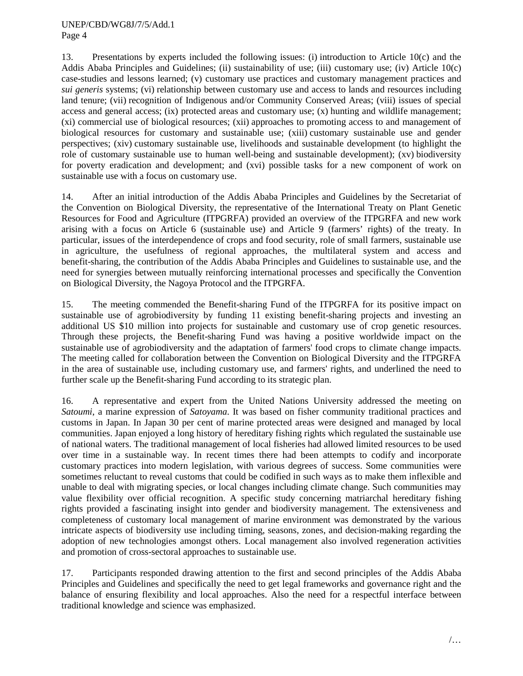13. Presentations by experts included the following issues: (i) introduction to Article 10(c) and the Addis Ababa Principles and Guidelines; (ii) sustainability of use; (iii) customary use; (iv) Article 10(c) case-studies and lessons learned; (v) customary use practices and customary management practices and *sui generis* systems; (vi) relationship between customary use and access to lands and resources including land tenure; (vii) recognition of Indigenous and/or Community Conserved Areas; (viii) issues of special access and general access; (ix) protected areas and customary use; (x) hunting and wildlife management; (xi) commercial use of biological resources; (xii) approaches to promoting access to and management of biological resources for customary and sustainable use; (xiii) customary sustainable use and gender perspectives; (xiv) customary sustainable use, livelihoods and sustainable development (to highlight the role of customary sustainable use to human well-being and sustainable development); (xv) biodiversity for poverty eradication and development; and (xvi) possible tasks for a new component of work on sustainable use with a focus on customary use.

14. After an initial introduction of the Addis Ababa Principles and Guidelines by the Secretariat of the Convention on Biological Diversity, the representative of the International Treaty on Plant Genetic Resources for Food and Agriculture (ITPGRFA) provided an overview of the ITPGRFA and new work arising with a focus on Article 6 (sustainable use) and Article 9 (farmers' rights) of the treaty. In particular, issues of the interdependence of crops and food security, role of small farmers, sustainable use in agriculture, the usefulness of regional approaches, the multilateral system and access and benefit-sharing, the contribution of the Addis Ababa Principles and Guidelines to sustainable use, and the need for synergies between mutually reinforcing international processes and specifically the Convention on Biological Diversity, the Nagoya Protocol and the ITPGRFA.

15. The meeting commended the Benefit-sharing Fund of the ITPGRFA for its positive impact on sustainable use of agrobiodiversity by funding 11 existing benefit-sharing projects and investing an additional US \$10 million into projects for sustainable and customary use of crop genetic resources. Through these projects, the Benefit-sharing Fund was having a positive worldwide impact on the sustainable use of agrobiodiversity and the adaptation of farmers' food crops to climate change impacts. The meeting called for collaboration between the Convention on Biological Diversity and the ITPGRFA in the area of sustainable use, including customary use, and farmers' rights, and underlined the need to further scale up the Benefit-sharing Fund according to its strategic plan.

16. A representative and expert from the United Nations University addressed the meeting on *Satoumi*, a marine expression of *Satoyama*. It was based on fisher community traditional practices and customs in Japan. In Japan 30 per cent of marine protected areas were designed and managed by local communities. Japan enjoyed a long history of hereditary fishing rights which regulated the sustainable use of national waters. The traditional management of local fisheries had allowed limited resources to be used over time in a sustainable way. In recent times there had been attempts to codify and incorporate customary practices into modern legislation, with various degrees of success. Some communities were sometimes reluctant to reveal customs that could be codified in such ways as to make them inflexible and unable to deal with migrating species, or local changes including climate change. Such communities may value flexibility over official recognition. A specific study concerning matriarchal hereditary fishing rights provided a fascinating insight into gender and biodiversity management. The extensiveness and completeness of customary local management of marine environment was demonstrated by the various intricate aspects of biodiversity use including timing, seasons, zones, and decision-making regarding the adoption of new technologies amongst others. Local management also involved regeneration activities and promotion of cross-sectoral approaches to sustainable use.

17. Participants responded drawing attention to the first and second principles of the Addis Ababa Principles and Guidelines and specifically the need to get legal frameworks and governance right and the balance of ensuring flexibility and local approaches. Also the need for a respectful interface between traditional knowledge and science was emphasized.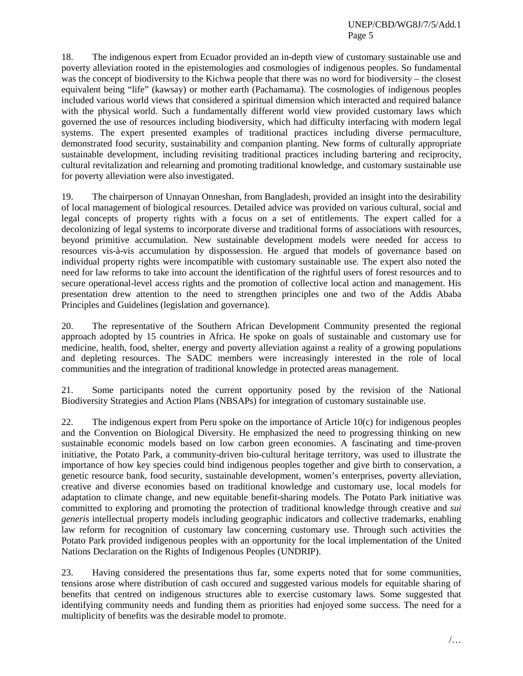18. The indigenous expert from Ecuador provided an in-depth view of customary sustainable use and poverty alleviation rooted in the epistemologies and cosmologies of indigenous peoples. So fundamental was the concept of biodiversity to the Kichwa people that there was no word for biodiversity – the closest equivalent being "life" (kawsay) or mother earth (Pachamama). The cosmologies of indigenous peoples included various world views that considered a spiritual dimension which interacted and required balance with the physical world. Such a fundamentally different world view provided customary laws which governed the use of resources including biodiversity, which had difficulty interfacing with modern legal systems. The expert presented examples of traditional practices including diverse permaculture, demonstrated food security, sustainability and companion planting. New forms of culturally appropriate sustainable development, including revisiting traditional practices including bartering and reciprocity, cultural revitalization and relearning and promoting traditional knowledge, and customary sustainable use for poverty alleviation were also investigated.

19. The chairperson of Unnayan Onneshan, from Bangladesh, provided an insight into the desirability of local management of biological resources. Detailed advice was provided on various cultural, social and legal concepts of property rights with a focus on a set of entitlements. The expert called for a decolonizing of legal systems to incorporate diverse and traditional forms of associations with resources, beyond primitive accumulation. New sustainable development models were needed for access to resources vis-à-vis accumulation by dispossession. He argued that models of governance based on individual property rights were incompatible with customary sustainable use. The expert also noted the need for law reforms to take into account the identification of the rightful users of forest resources and to secure operational-level access rights and the promotion of collective local action and management. His presentation drew attention to the need to strengthen principles one and two of the Addis Ababa Principles and Guidelines (legislation and governance).

20. The representative of the Southern African Development Community presented the regional approach adopted by 15 countries in Africa. He spoke on goals of sustainable and customary use for medicine, health, food, shelter, energy and poverty alleviation against a reality of a growing populations and depleting resources. The SADC members were increasingly interested in the role of local communities and the integration of traditional knowledge in protected areas management.

21. Some participants noted the current opportunity posed by the revision of the National Biodiversity Strategies and Action Plans (NBSAPs) for integration of customary sustainable use.

22. The indigenous expert from Peru spoke on the importance of Article 10(c) for indigenous peoples and the Convention on Biological Diversity. He emphasized the need to progressing thinking on new sustainable economic models based on low carbon green economies. A fascinating and time-proven initiative, the Potato Park, a community-driven bio-cultural heritage territory, was used to illustrate the importance of how key species could bind indigenous peoples together and give birth to conservation, a genetic resource bank, food security, sustainable development, women's enterprises, poverty alleviation, creative and diverse economies based on traditional knowledge and customary use, local models for adaptation to climate change, and new equitable benefit-sharing models. The Potato Park initiative was committed to exploring and promoting the protection of traditional knowledge through creative and *sui generis* intellectual property models including geographic indicators and collective trademarks, enabling law reform for recognition of customary law concerning customary use. Through such activities the Potato Park provided indigenous peoples with an opportunity for the local implementation of the United Nations Declaration on the Rights of Indigenous Peoples (UNDRIP).

23. Having considered the presentations thus far, some experts noted that for some communities, tensions arose where distribution of cash occured and suggested various models for equitable sharing of benefits that centred on indigenous structures able to exercise customary laws. Some suggested that identifying community needs and funding them as priorities had enjoyed some success. The need for a multiplicity of benefits was the desirable model to promote.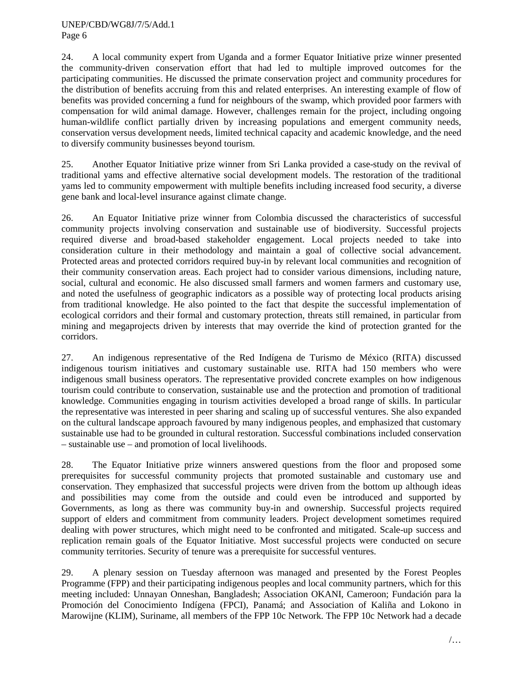24. A local community expert from Uganda and a former Equator Initiative prize winner presented the community-driven conservation effort that had led to multiple improved outcomes for the participating communities. He discussed the primate conservation project and community procedures for the distribution of benefits accruing from this and related enterprises. An interesting example of flow of benefits was provided concerning a fund for neighbours of the swamp, which provided poor farmers with compensation for wild animal damage. However, challenges remain for the project, including ongoing human-wildlife conflict partially driven by increasing populations and emergent community needs, conservation versus development needs, limited technical capacity and academic knowledge, and the need to diversify community businesses beyond tourism.

25. Another Equator Initiative prize winner from Sri Lanka provided a case-study on the revival of traditional yams and effective alternative social development models. The restoration of the traditional yams led to community empowerment with multiple benefits including increased food security, a diverse gene bank and local-level insurance against climate change.

26. An Equator Initiative prize winner from Colombia discussed the characteristics of successful community projects involving conservation and sustainable use of biodiversity. Successful projects required diverse and broad-based stakeholder engagement. Local projects needed to take into consideration culture in their methodology and maintain a goal of collective social advancement. Protected areas and protected corridors required buy-in by relevant local communities and recognition of their community conservation areas. Each project had to consider various dimensions, including nature, social, cultural and economic. He also discussed small farmers and women farmers and customary use, and noted the usefulness of geographic indicators as a possible way of protecting local products arising from traditional knowledge. He also pointed to the fact that despite the successful implementation of ecological corridors and their formal and customary protection, threats still remained, in particular from mining and megaprojects driven by interests that may override the kind of protection granted for the corridors.

27. An indigenous representative of the Red Indígena de Turismo de México (RITA) discussed indigenous tourism initiatives and customary sustainable use. RITA had 150 members who were indigenous small business operators. The representative provided concrete examples on how indigenous tourism could contribute to conservation, sustainable use and the protection and promotion of traditional knowledge. Communities engaging in tourism activities developed a broad range of skills. In particular the representative was interested in peer sharing and scaling up of successful ventures. She also expanded on the cultural landscape approach favoured by many indigenous peoples, and emphasized that customary sustainable use had to be grounded in cultural restoration. Successful combinations included conservation – sustainable use – and promotion of local livelihoods.

28. The Equator Initiative prize winners answered questions from the floor and proposed some prerequisites for successful community projects that promoted sustainable and customary use and conservation. They emphasized that successful projects were driven from the bottom up although ideas and possibilities may come from the outside and could even be introduced and supported by Governments, as long as there was community buy-in and ownership. Successful projects required support of elders and commitment from community leaders. Project development sometimes required dealing with power structures, which might need to be confronted and mitigated. Scale-up success and replication remain goals of the Equator Initiative. Most successful projects were conducted on secure community territories. Security of tenure was a prerequisite for successful ventures.

29. A plenary session on Tuesday afternoon was managed and presented by the Forest Peoples Programme (FPP) and their participating indigenous peoples and local community partners, which for this meeting included: Unnayan Onneshan, Bangladesh; Association OKANI, Cameroon; Fundación para la Promoción del Conocimiento Indígena (FPCI), Panamá; and Association of Kaliña and Lokono in Marowijne (KLIM), Suriname, all members of the FPP 10c Network. The FPP 10c Network had a decade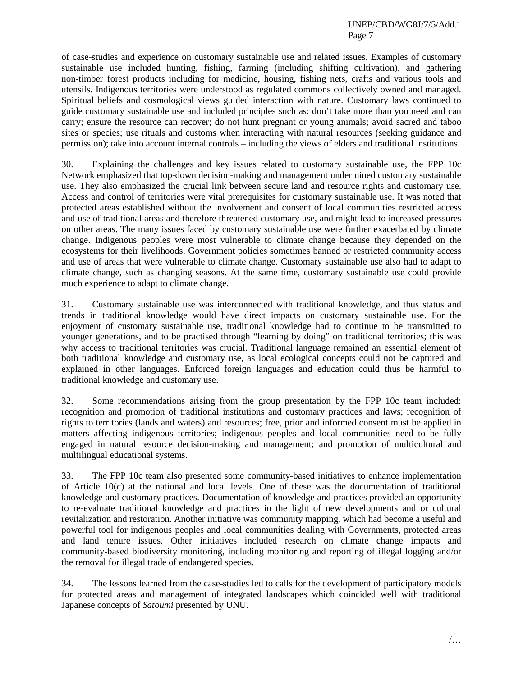of case-studies and experience on customary sustainable use and related issues. Examples of customary sustainable use included hunting, fishing, farming (including shifting cultivation), and gathering non-timber forest products including for medicine, housing, fishing nets, crafts and various tools and utensils. Indigenous territories were understood as regulated commons collectively owned and managed. Spiritual beliefs and cosmological views guided interaction with nature. Customary laws continued to guide customary sustainable use and included principles such as: don't take more than you need and can carry; ensure the resource can recover; do not hunt pregnant or young animals; avoid sacred and taboo sites or species; use rituals and customs when interacting with natural resources (seeking guidance and permission); take into account internal controls – including the views of elders and traditional institutions.

30. Explaining the challenges and key issues related to customary sustainable use, the FPP 10c Network emphasized that top-down decision-making and management undermined customary sustainable use. They also emphasized the crucial link between secure land and resource rights and customary use. Access and control of territories were vital prerequisites for customary sustainable use. It was noted that protected areas established without the involvement and consent of local communities restricted access and use of traditional areas and therefore threatened customary use, and might lead to increased pressures on other areas. The many issues faced by customary sustainable use were further exacerbated by climate change. Indigenous peoples were most vulnerable to climate change because they depended on the ecosystems for their livelihoods. Government policies sometimes banned or restricted community access and use of areas that were vulnerable to climate change. Customary sustainable use also had to adapt to climate change, such as changing seasons. At the same time, customary sustainable use could provide much experience to adapt to climate change.

31. Customary sustainable use was interconnected with traditional knowledge, and thus status and trends in traditional knowledge would have direct impacts on customary sustainable use. For the enjoyment of customary sustainable use, traditional knowledge had to continue to be transmitted to younger generations, and to be practised through "learning by doing" on traditional territories; this was why access to traditional territories was crucial. Traditional language remained an essential element of both traditional knowledge and customary use, as local ecological concepts could not be captured and explained in other languages. Enforced foreign languages and education could thus be harmful to traditional knowledge and customary use.

32. Some recommendations arising from the group presentation by the FPP 10c team included: recognition and promotion of traditional institutions and customary practices and laws; recognition of rights to territories (lands and waters) and resources; free, prior and informed consent must be applied in matters affecting indigenous territories; indigenous peoples and local communities need to be fully engaged in natural resource decision-making and management; and promotion of multicultural and multilingual educational systems.

33. The FPP 10c team also presented some community-based initiatives to enhance implementation of Article 10(c) at the national and local levels. One of these was the documentation of traditional knowledge and customary practices. Documentation of knowledge and practices provided an opportunity to re-evaluate traditional knowledge and practices in the light of new developments and or cultural revitalization and restoration. Another initiative was community mapping, which had become a useful and powerful tool for indigenous peoples and local communities dealing with Governments, protected areas and land tenure issues. Other initiatives included research on climate change impacts and community-based biodiversity monitoring, including monitoring and reporting of illegal logging and/or the removal for illegal trade of endangered species.

34. The lessons learned from the case-studies led to calls for the development of participatory models for protected areas and management of integrated landscapes which coincided well with traditional Japanese concepts of *Satoumi* presented by UNU.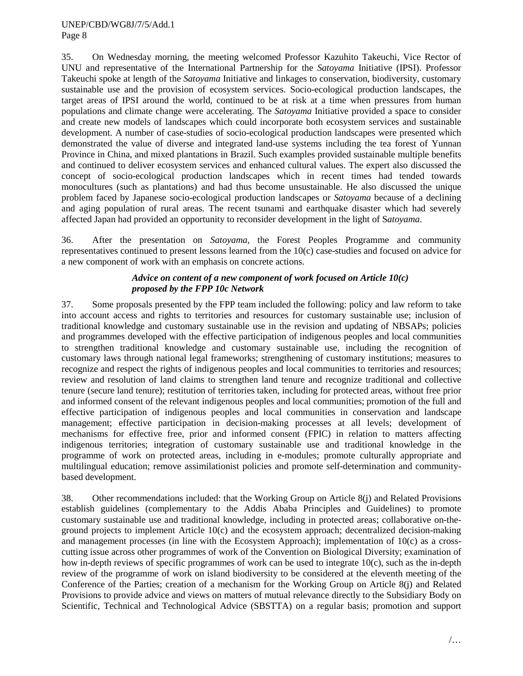35. On Wednesday morning, the meeting welcomed Professor Kazuhito Takeuchi, Vice Rector of UNU and representative of the International Partnership for the *Satoyama* Initiative (IPSI). Professor Takeuchi spoke at length of the *Satoyama* Initiative and linkages to conservation, biodiversity, customary sustainable use and the provision of ecosystem services. Socio-ecological production landscapes, the target areas of IPSI around the world, continued to be at risk at a time when pressures from human populations and climate change were accelerating. The *Satoyama* Initiative provided a space to consider and create new models of landscapes which could incorporate both ecosystem services and sustainable development. A number of case-studies of socio-ecological production landscapes were presented which demonstrated the value of diverse and integrated land-use systems including the tea forest of Yunnan Province in China, and mixed plantations in Brazil. Such examples provided sustainable multiple benefits and continued to deliver ecosystem services and enhanced cultural values. The expert also discussed the concept of socio-ecological production landscapes which in recent times had tended towards monocultures (such as plantations) and had thus become unsustainable. He also discussed the unique problem faced by Japanese socio-ecological production landscapes or *Satoyama* because of a declining and aging population of rural areas. The recent tsunami and earthquake disaster which had severely affected Japan had provided an opportunity to reconsider development in the light of S*atoyama*.

36. After the presentation on *Satoyama,* the Forest Peoples Programme and community representatives continued to present lessons learned from the 10(c) case-studies and focused on advice for a new component of work with an emphasis on concrete actions.

## *Advice on content of a new component of work focused on Article 10(c) proposed by the FPP 10c Network*

37. Some proposals presented by the FPP team included the following: policy and law reform to take into account access and rights to territories and resources for customary sustainable use; inclusion of traditional knowledge and customary sustainable use in the revision and updating of NBSAPs; policies and programmes developed with the effective participation of indigenous peoples and local communities to strengthen traditional knowledge and customary sustainable use, including the recognition of customary laws through national legal frameworks; strengthening of customary institutions; measures to recognize and respect the rights of indigenous peoples and local communities to territories and resources; review and resolution of land claims to strengthen land tenure and recognize traditional and collective tenure (secure land tenure); restitution of territories taken, including for protected areas, without free prior and informed consent of the relevant indigenous peoples and local communities; promotion of the full and effective participation of indigenous peoples and local communities in conservation and landscape management; effective participation in decision-making processes at all levels; development of mechanisms for effective free, prior and informed consent (FPIC) in relation to matters affecting indigenous territories; integration of customary sustainable use and traditional knowledge in the programme of work on protected areas, including in e-modules; promote culturally appropriate and multilingual education; remove assimilationist policies and promote self-determination and communitybased development.

38. Other recommendations included: that the Working Group on Article 8(j) and Related Provisions establish guidelines (complementary to the Addis Ababa Principles and Guidelines) to promote customary sustainable use and traditional knowledge, including in protected areas; collaborative on-theground projects to implement Article 10(c) and the ecosystem approach; decentralized decision-making and management processes (in line with the Ecosystem Approach); implementation of 10(c) as a crosscutting issue across other programmes of work of the Convention on Biological Diversity; examination of how in-depth reviews of specific programmes of work can be used to integrate 10(c), such as the in-depth review of the programme of work on island biodiversity to be considered at the eleventh meeting of the Conference of the Parties; creation of a mechanism for the Working Group on Article 8(j) and Related Provisions to provide advice and views on matters of mutual relevance directly to the Subsidiary Body on Scientific, Technical and Technological Advice (SBSTTA) on a regular basis; promotion and support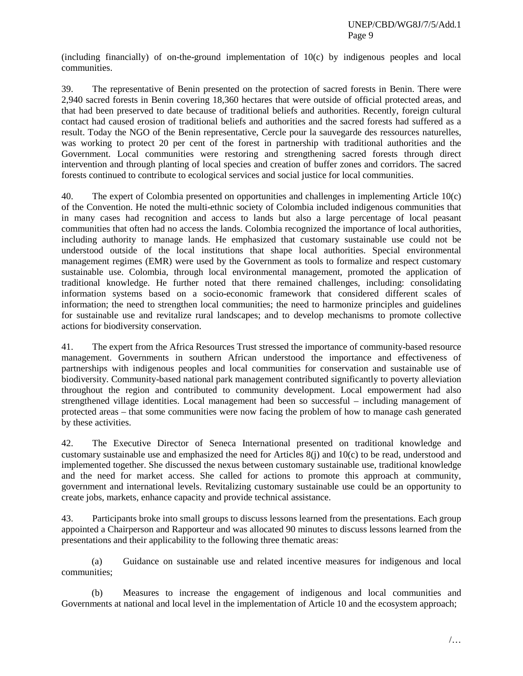(including financially) of on-the-ground implementation of 10(c) by indigenous peoples and local communities.

39. The representative of Benin presented on the protection of sacred forests in Benin. There were 2,940 sacred forests in Benin covering 18,360 hectares that were outside of official protected areas, and that had been preserved to date because of traditional beliefs and authorities. Recently, foreign cultural contact had caused erosion of traditional beliefs and authorities and the sacred forests had suffered as a result. Today the NGO of the Benin representative, Cercle pour la sauvegarde des ressources naturelles, was working to protect 20 per cent of the forest in partnership with traditional authorities and the Government. Local communities were restoring and strengthening sacred forests through direct intervention and through planting of local species and creation of buffer zones and corridors. The sacred forests continued to contribute to ecological services and social justice for local communities.

40. The expert of Colombia presented on opportunities and challenges in implementing Article 10(c) of the Convention. He noted the multi-ethnic society of Colombia included indigenous communities that in many cases had recognition and access to lands but also a large percentage of local peasant communities that often had no access the lands. Colombia recognized the importance of local authorities, including authority to manage lands. He emphasized that customary sustainable use could not be understood outside of the local institutions that shape local authorities. Special environmental management regimes (EMR) were used by the Government as tools to formalize and respect customary sustainable use. Colombia, through local environmental management, promoted the application of traditional knowledge. He further noted that there remained challenges, including: consolidating information systems based on a socio-economic framework that considered different scales of information; the need to strengthen local communities; the need to harmonize principles and guidelines for sustainable use and revitalize rural landscapes; and to develop mechanisms to promote collective actions for biodiversity conservation.

41. The expert from the Africa Resources Trust stressed the importance of community-based resource management. Governments in southern African understood the importance and effectiveness of partnerships with indigenous peoples and local communities for conservation and sustainable use of biodiversity. Community-based national park management contributed significantly to poverty alleviation throughout the region and contributed to community development. Local empowerment had also strengthened village identities. Local management had been so successful – including management of protected areas – that some communities were now facing the problem of how to manage cash generated by these activities.

42. The Executive Director of Seneca International presented on traditional knowledge and customary sustainable use and emphasized the need for Articles 8(j) and 10(c) to be read, understood and implemented together. She discussed the nexus between customary sustainable use, traditional knowledge and the need for market access. She called for actions to promote this approach at community, government and international levels. Revitalizing customary sustainable use could be an opportunity to create jobs, markets, enhance capacity and provide technical assistance.

43. Participants broke into small groups to discuss lessons learned from the presentations. Each group appointed a Chairperson and Rapporteur and was allocated 90 minutes to discuss lessons learned from the presentations and their applicability to the following three thematic areas:

(a) Guidance on sustainable use and related incentive measures for indigenous and local communities;

(b) Measures to increase the engagement of indigenous and local communities and Governments at national and local level in the implementation of Article 10 and the ecosystem approach;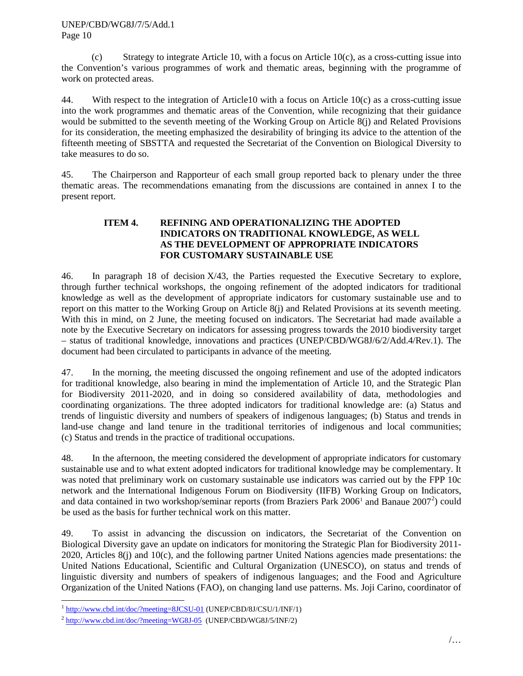(c) Strategy to integrate Article 10, with a focus on Article 10 $(c)$ , as a cross-cutting issue into the Convention's various programmes of work and thematic areas, beginning with the programme of work on protected areas.

44. With respect to the integration of Article10 with a focus on Article 10(c) as a cross-cutting issue into the work programmes and thematic areas of the Convention, while recognizing that their guidance would be submitted to the seventh meeting of the Working Group on Article 8(j) and Related Provisions for its consideration, the meeting emphasized the desirability of bringing its advice to the attention of the fifteenth meeting of SBSTTA and requested the Secretariat of the Convention on Biological Diversity to take measures to do so.

45. The Chairperson and Rapporteur of each small group reported back to plenary under the three thematic areas. The recommendations emanating from the discussions are contained in annex I to the present report.

## **ITEM 4. REFINING AND OPERATIONALIZING THE ADOPTED INDICATORS ON TRADITIONAL KNOWLEDGE, AS WELL AS THE DEVELOPMENT OF APPROPRIATE INDICATORS FOR CUSTOMARY SUSTAINABLE USE**

46. In paragraph 18 of decision X/43, the Parties requested the Executive Secretary to explore, through further technical workshops, the ongoing refinement of the adopted indicators for traditional knowledge as well as the development of appropriate indicators for customary sustainable use and to report on this matter to the Working Group on Article 8(j) and Related Provisions at its seventh meeting. With this in mind, on 2 June, the meeting focused on indicators. The Secretariat had made available a note by the Executive Secretary on indicators for assessing progress towards the 2010 biodiversity target – status of traditional knowledge, innovations and practices (UNEP/CBD/WG8J/6/2/Add.4/Rev.1). The document had been circulated to participants in advance of the meeting.

47. In the morning, the meeting discussed the ongoing refinement and use of the adopted indicators for traditional knowledge, also bearing in mind the implementation of Article 10, and the Strategic Plan for Biodiversity 2011-2020, and in doing so considered availability of data, methodologies and coordinating organizations. The three adopted indicators for traditional knowledge are: (a) Status and trends of linguistic diversity and numbers of speakers of indigenous languages; (b) Status and trends in land-use change and land tenure in the traditional territories of indigenous and local communities; (c) Status and trends in the practice of traditional occupations.

48. In the afternoon, the meeting considered the development of appropriate indicators for customary sustainable use and to what extent adopted indicators for traditional knowledge may be complementary. It was noted that preliminary work on customary sustainable use indicators was carried out by the FPP 10c network and the International Indigenous Forum on Biodiversity (IIFB) Working Group on Indicators, and data contained in two workshop/seminar reports (from Braziers Park  $2006<sup>1</sup>$  $2006<sup>1</sup>$  $2006<sup>1</sup>$  and Banaue  $2007<sup>2</sup>$  $2007<sup>2</sup>$ ) could be used as the basis for further technical work on this matter.

49. To assist in advancing the discussion on indicators, the Secretariat of the Convention on Biological Diversity gave an update on indicators for monitoring the Strategic Plan for Biodiversity 2011- 2020, Articles 8(j) and 10(c), and the following partner United Nations agencies made presentations: the United Nations Educational, Scientific and Cultural Organization (UNESCO), on status and trends of linguistic diversity and numbers of speakers of indigenous languages; and the Food and Agriculture Organization of the United Nations (FAO), on changing land use patterns. Ms. Joji Carino, coordinator of

<span id="page-9-0"></span> <sup>1</sup> <http://www.cbd.int/doc/?meeting=8JCSU-01> (UNEP/CBD/8J/CSU/1/INF/1)

<span id="page-9-1"></span> $^{2}$  <http://www.cbd.int/doc/?meeting=WG8J-05>(UNEP/CBD/WG8J/5/INF/2)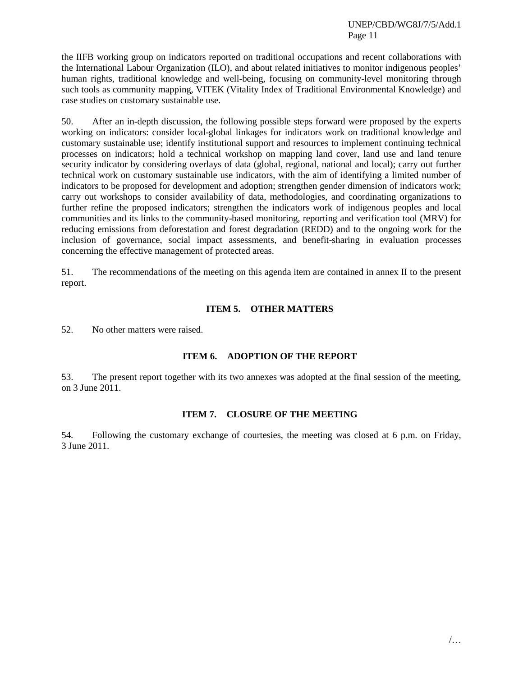the IIFB working group on indicators reported on traditional occupations and recent collaborations with the International Labour Organization (ILO), and about related initiatives to monitor indigenous peoples' human rights, traditional knowledge and well-being, focusing on community-level monitoring through such tools as community mapping, VITEK (Vitality Index of Traditional Environmental Knowledge) and case studies on customary sustainable use.

50. After an in-depth discussion, the following possible steps forward were proposed by the experts working on indicators: consider local-global linkages for indicators work on traditional knowledge and customary sustainable use; identify institutional support and resources to implement continuing technical processes on indicators; hold a technical workshop on mapping land cover, land use and land tenure security indicator by considering overlays of data (global, regional, national and local); carry out further technical work on customary sustainable use indicators, with the aim of identifying a limited number of indicators to be proposed for development and adoption; strengthen gender dimension of indicators work; carry out workshops to consider availability of data, methodologies, and coordinating organizations to further refine the proposed indicators; strengthen the indicators work of indigenous peoples and local communities and its links to the community-based monitoring, reporting and verification tool (MRV) for reducing emissions from deforestation and forest degradation (REDD) and to the ongoing work for the inclusion of governance, social impact assessments, and benefit-sharing in evaluation processes concerning the effective management of protected areas.

51. The recommendations of the meeting on this agenda item are contained in annex II to the present report.

### **ITEM 5. OTHER MATTERS**

52. No other matters were raised.

### **ITEM 6. ADOPTION OF THE REPORT**

53. The present report together with its two annexes was adopted at the final session of the meeting, on 3 June 2011.

#### **ITEM 7. CLOSURE OF THE MEETING**

54. Following the customary exchange of courtesies, the meeting was closed at 6 p.m. on Friday, 3 June 2011.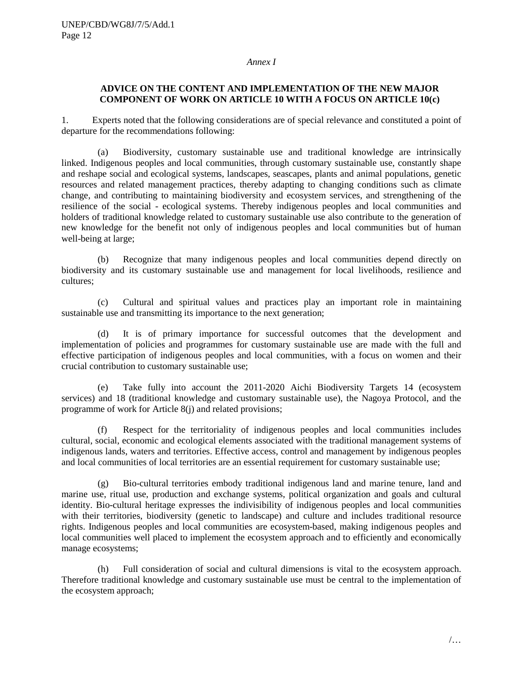#### *Annex I*

### **ADVICE ON THE CONTENT AND IMPLEMENTATION OF THE NEW MAJOR COMPONENT OF WORK ON ARTICLE 10 WITH A FOCUS ON ARTICLE 10(c)**

1. Experts noted that the following considerations are of special relevance and constituted a point of departure for the recommendations following:

(a) Biodiversity, customary sustainable use and traditional knowledge are intrinsically linked. Indigenous peoples and local communities, through customary sustainable use, constantly shape and reshape social and ecological systems, landscapes, seascapes, plants and animal populations, genetic resources and related management practices, thereby adapting to changing conditions such as climate change, and contributing to maintaining biodiversity and ecosystem services, and strengthening of the resilience of the social - ecological systems. Thereby indigenous peoples and local communities and holders of traditional knowledge related to customary sustainable use also contribute to the generation of new knowledge for the benefit not only of indigenous peoples and local communities but of human well-being at large;

(b) Recognize that many indigenous peoples and local communities depend directly on biodiversity and its customary sustainable use and management for local livelihoods, resilience and cultures;

(c) Cultural and spiritual values and practices play an important role in maintaining sustainable use and transmitting its importance to the next generation;

(d) It is of primary importance for successful outcomes that the development and implementation of policies and programmes for customary sustainable use are made with the full and effective participation of indigenous peoples and local communities, with a focus on women and their crucial contribution to customary sustainable use;

(e) Take fully into account the 2011-2020 Aichi Biodiversity Targets 14 (ecosystem services) and 18 (traditional knowledge and customary sustainable use), the Nagoya Protocol, and the programme of work for Article 8(j) and related provisions;

(f) Respect for the territoriality of indigenous peoples and local communities includes cultural, social, economic and ecological elements associated with the traditional management systems of indigenous lands, waters and territories. Effective access, control and management by indigenous peoples and local communities of local territories are an essential requirement for customary sustainable use;

(g) Bio-cultural territories embody traditional indigenous land and marine tenure, land and marine use, ritual use, production and exchange systems, political organization and goals and cultural identity. Bio-cultural heritage expresses the indivisibility of indigenous peoples and local communities with their territories, biodiversity (genetic to landscape) and culture and includes traditional resource rights. Indigenous peoples and local communities are ecosystem-based, making indigenous peoples and local communities well placed to implement the ecosystem approach and to efficiently and economically manage ecosystems;

(h) Full consideration of social and cultural dimensions is vital to the ecosystem approach. Therefore traditional knowledge and customary sustainable use must be central to the implementation of the ecosystem approach;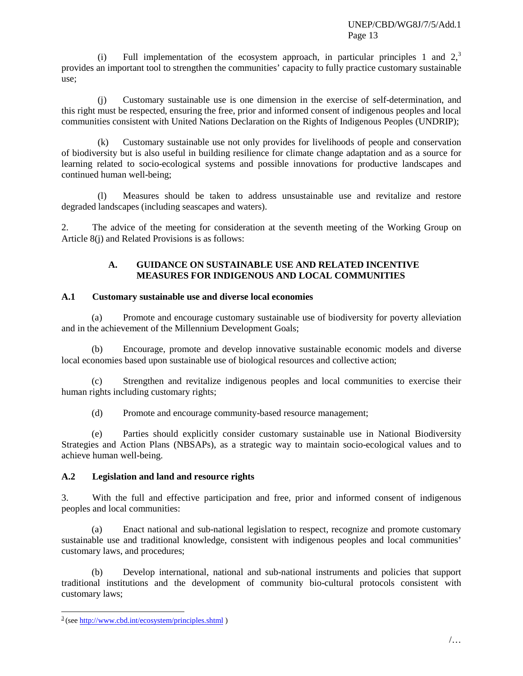(i) Full implementation of the ecosystem approach, in particular principles 1 and  $2<sup>3</sup>$  $2<sup>3</sup>$  $2<sup>3</sup>$ , provides an important tool to strengthen the communities' capacity to fully practice customary sustainable use;

(j) Customary sustainable use is one dimension in the exercise of self-determination, and this right must be respected, ensuring the free, prior and informed consent of indigenous peoples and local communities consistent with United Nations Declaration on the Rights of Indigenous Peoples (UNDRIP);

(k) Customary sustainable use not only provides for livelihoods of people and conservation of biodiversity but is also useful in building resilience for climate change adaptation and as a source for learning related to socio-ecological systems and possible innovations for productive landscapes and continued human well-being;

(l) Measures should be taken to address unsustainable use and revitalize and restore degraded landscapes (including seascapes and waters).

2. The advice of the meeting for consideration at the seventh meeting of the Working Group on Article 8(j) and Related Provisions is as follows:

#### **A. GUIDANCE ON SUSTAINABLE USE AND RELATED INCENTIVE MEASURES FOR INDIGENOUS AND LOCAL COMMUNITIES**

# **A.1 Customary sustainable use and diverse local economies**

(a) Promote and encourage customary sustainable use of biodiversity for poverty alleviation and in the achievement of the Millennium Development Goals;

(b) Encourage, promote and develop innovative sustainable economic models and diverse local economies based upon sustainable use of biological resources and collective action;

(c) Strengthen and revitalize indigenous peoples and local communities to exercise their human rights including customary rights;

(d) Promote and encourage community-based resource management;

(e) Parties should explicitly consider customary sustainable use in National Biodiversity Strategies and Action Plans (NBSAPs), as a strategic way to maintain socio-ecological values and to achieve human well-being.

# **A.2 Legislation and land and resource rights**

3. With the full and effective participation and free, prior and informed consent of indigenous peoples and local communities:

(a) Enact national and sub-national legislation to respect, recognize and promote customary sustainable use and traditional knowledge, consistent with indigenous peoples and local communities' customary laws, and procedures;

(b) Develop international, national and sub-national instruments and policies that support traditional institutions and the development of community bio-cultural protocols consistent with customary laws;

<span id="page-12-0"></span> $\frac{3}{2}$ (see<http://www.cbd.int/ecosystem/principles.shtml>)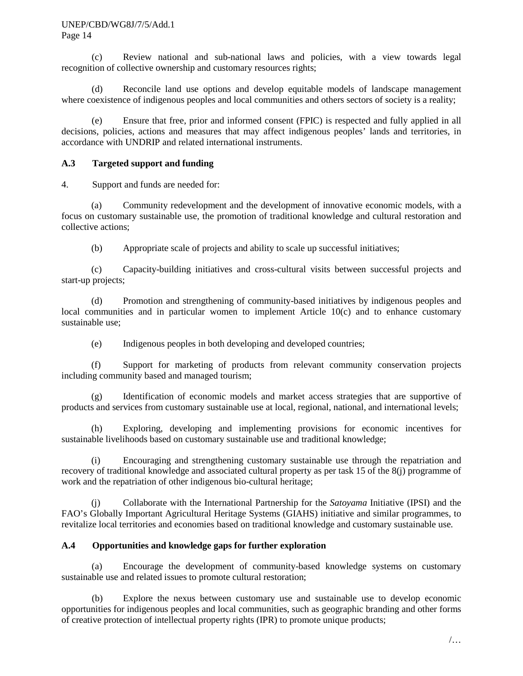#### UNEP/CBD/WG8J/7/5/Add.1 Page 14

(c) Review national and sub-national laws and policies, with a view towards legal recognition of collective ownership and customary resources rights;

(d) Reconcile land use options and develop equitable models of landscape management where coexistence of indigenous peoples and local communities and others sectors of society is a reality;

(e) Ensure that free, prior and informed consent (FPIC) is respected and fully applied in all decisions, policies, actions and measures that may affect indigenous peoples' lands and territories, in accordance with UNDRIP and related international instruments.

# **A.3 Targeted support and funding**

4. Support and funds are needed for:

(a) Community redevelopment and the development of innovative economic models, with a focus on customary sustainable use, the promotion of traditional knowledge and cultural restoration and collective actions;

(b) Appropriate scale of projects and ability to scale up successful initiatives;

(c) Capacity-building initiatives and cross-cultural visits between successful projects and start-up projects;

(d) Promotion and strengthening of community-based initiatives by indigenous peoples and local communities and in particular women to implement Article 10(c) and to enhance customary sustainable use;

(e) Indigenous peoples in both developing and developed countries;

(f) Support for marketing of products from relevant community conservation projects including community based and managed tourism;

(g) Identification of economic models and market access strategies that are supportive of products and services from customary sustainable use at local, regional, national, and international levels;

(h) Exploring, developing and implementing provisions for economic incentives for sustainable livelihoods based on customary sustainable use and traditional knowledge;

(i) Encouraging and strengthening customary sustainable use through the repatriation and recovery of traditional knowledge and associated cultural property as per task 15 of the 8(j) programme of work and the repatriation of other indigenous bio-cultural heritage;

(j) Collaborate with the International Partnership for the *Satoyama* Initiative (IPSI) and the FAO's Globally Important Agricultural Heritage Systems (GIAHS) initiative and similar programmes, to revitalize local territories and economies based on traditional knowledge and customary sustainable use.

# **A.4 Opportunities and knowledge gaps for further exploration**

(a) Encourage the development of community-based knowledge systems on customary sustainable use and related issues to promote cultural restoration;

(b) Explore the nexus between customary use and sustainable use to develop economic opportunities for indigenous peoples and local communities, such as geographic branding and other forms of creative protection of intellectual property rights (IPR) to promote unique products;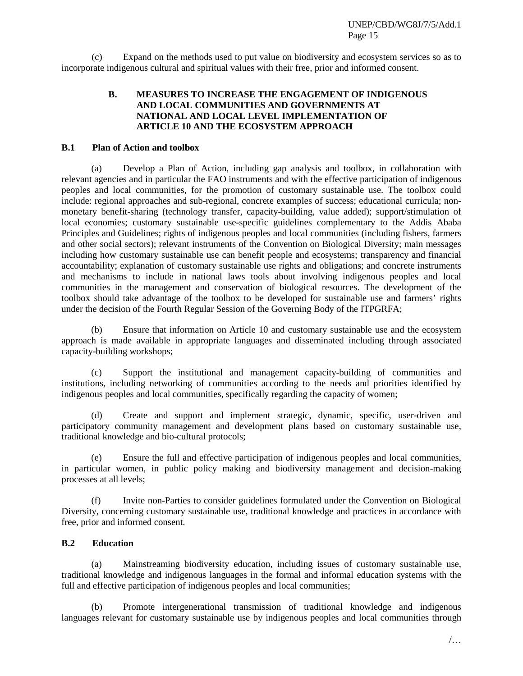(c) Expand on the methods used to put value on biodiversity and ecosystem services so as to incorporate indigenous cultural and spiritual values with their free, prior and informed consent.

# **B. MEASURES TO INCREASE THE ENGAGEMENT OF INDIGENOUS AND LOCAL COMMUNITIES AND GOVERNMENTS AT NATIONAL AND LOCAL LEVEL IMPLEMENTATION OF ARTICLE 10 AND THE ECOSYSTEM APPROACH**

### **B.1 Plan of Action and toolbox**

(a) Develop a Plan of Action, including gap analysis and toolbox, in collaboration with relevant agencies and in particular the FAO instruments and with the effective participation of indigenous peoples and local communities, for the promotion of customary sustainable use. The toolbox could include: regional approaches and sub-regional, concrete examples of success; educational curricula; nonmonetary benefit-sharing (technology transfer, capacity-building, value added); support/stimulation of local economies; customary sustainable use-specific guidelines complementary to the Addis Ababa Principles and Guidelines; rights of indigenous peoples and local communities (including fishers, farmers and other social sectors); relevant instruments of the Convention on Biological Diversity; main messages including how customary sustainable use can benefit people and ecosystems; transparency and financial accountability; explanation of customary sustainable use rights and obligations; and concrete instruments and mechanisms to include in national laws tools about involving indigenous peoples and local communities in the management and conservation of biological resources. The development of the toolbox should take advantage of the toolbox to be developed for sustainable use and farmers' rights under the decision of the Fourth Regular Session of the Governing Body of the ITPGRFA;

(b) Ensure that information on Article 10 and customary sustainable use and the ecosystem approach is made available in appropriate languages and disseminated including through associated capacity-building workshops;

(c) Support the institutional and management capacity-building of communities and institutions, including networking of communities according to the needs and priorities identified by indigenous peoples and local communities, specifically regarding the capacity of women;

(d) Create and support and implement strategic, dynamic, specific, user-driven and participatory community management and development plans based on customary sustainable use, traditional knowledge and bio-cultural protocols;

(e) Ensure the full and effective participation of indigenous peoples and local communities, in particular women, in public policy making and biodiversity management and decision-making processes at all levels;

(f) Invite non-Parties to consider guidelines formulated under the Convention on Biological Diversity, concerning customary sustainable use, traditional knowledge and practices in accordance with free, prior and informed consent.

### **B.2 Education**

(a) Mainstreaming biodiversity education, including issues of customary sustainable use, traditional knowledge and indigenous languages in the formal and informal education systems with the full and effective participation of indigenous peoples and local communities;

(b) Promote intergenerational transmission of traditional knowledge and indigenous languages relevant for customary sustainable use by indigenous peoples and local communities through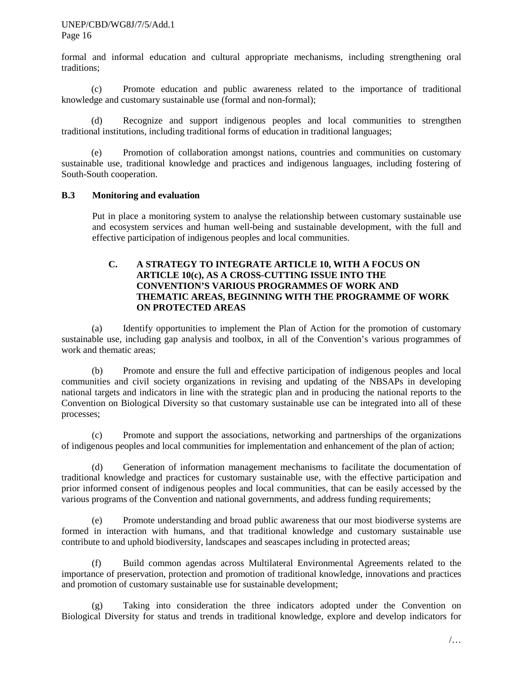#### UNEP/CBD/WG8J/7/5/Add.1 Page 16

formal and informal education and cultural appropriate mechanisms, including strengthening oral traditions;

(c) Promote education and public awareness related to the importance of traditional knowledge and customary sustainable use (formal and non-formal);

(d) Recognize and support indigenous peoples and local communities to strengthen traditional institutions, including traditional forms of education in traditional languages;

(e) Promotion of collaboration amongst nations, countries and communities on customary sustainable use, traditional knowledge and practices and indigenous languages, including fostering of South-South cooperation.

### **B.3 Monitoring and evaluation**

Put in place a monitoring system to analyse the relationship between customary sustainable use and ecosystem services and human well-being and sustainable development, with the full and effective participation of indigenous peoples and local communities.

## **C. A STRATEGY TO INTEGRATE ARTICLE 10, WITH A FOCUS ON ARTICLE 10(c), AS A CROSS-CUTTING ISSUE INTO THE CONVENTION'S VARIOUS PROGRAMMES OF WORK AND THEMATIC AREAS, BEGINNING WITH THE PROGRAMME OF WORK ON PROTECTED AREAS**

(a) Identify opportunities to implement the Plan of Action for the promotion of customary sustainable use, including gap analysis and toolbox, in all of the Convention's various programmes of work and thematic areas;

(b) Promote and ensure the full and effective participation of indigenous peoples and local communities and civil society organizations in revising and updating of the NBSAPs in developing national targets and indicators in line with the strategic plan and in producing the national reports to the Convention on Biological Diversity so that customary sustainable use can be integrated into all of these processes;

(c) Promote and support the associations, networking and partnerships of the organizations of indigenous peoples and local communities for implementation and enhancement of the plan of action;

(d) Generation of information management mechanisms to facilitate the documentation of traditional knowledge and practices for customary sustainable use, with the effective participation and prior informed consent of indigenous peoples and local communities, that can be easily accessed by the various programs of the Convention and national governments, and address funding requirements;

(e) Promote understanding and broad public awareness that our most biodiverse systems are formed in interaction with humans, and that traditional knowledge and customary sustainable use contribute to and uphold biodiversity, landscapes and seascapes including in protected areas;

(f) Build common agendas across Multilateral Environmental Agreements related to the importance of preservation, protection and promotion of traditional knowledge, innovations and practices and promotion of customary sustainable use for sustainable development;

(g) Taking into consideration the three indicators adopted under the Convention on Biological Diversity for status and trends in traditional knowledge, explore and develop indicators for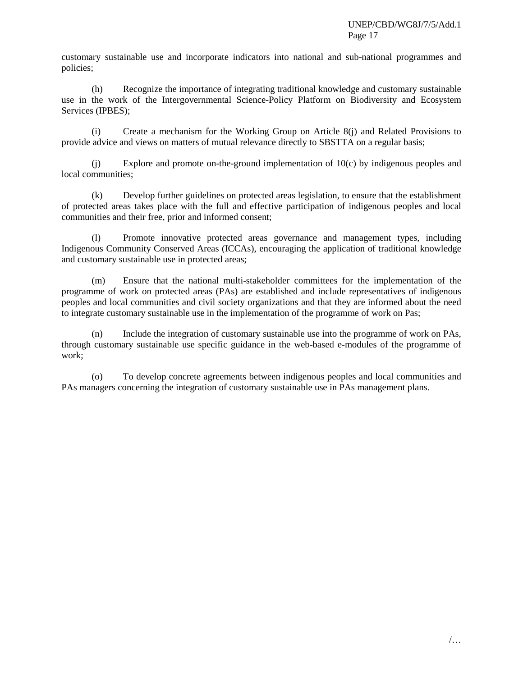customary sustainable use and incorporate indicators into national and sub-national programmes and policies;

(h) Recognize the importance of integrating traditional knowledge and customary sustainable use in the work of the Intergovernmental Science-Policy Platform on Biodiversity and Ecosystem Services (IPBES);

(i) Create a mechanism for the Working Group on Article 8(j) and Related Provisions to provide advice and views on matters of mutual relevance directly to SBSTTA on a regular basis;

(j) Explore and promote on-the-ground implementation of 10(c) by indigenous peoples and local communities;

(k) Develop further guidelines on protected areas legislation, to ensure that the establishment of protected areas takes place with the full and effective participation of indigenous peoples and local communities and their free, prior and informed consent;

(l) Promote innovative protected areas governance and management types, including Indigenous Community Conserved Areas (ICCAs), encouraging the application of traditional knowledge and customary sustainable use in protected areas;

(m) Ensure that the national multi-stakeholder committees for the implementation of the programme of work on protected areas (PAs) are established and include representatives of indigenous peoples and local communities and civil society organizations and that they are informed about the need to integrate customary sustainable use in the implementation of the programme of work on Pas;

(n) Include the integration of customary sustainable use into the programme of work on PAs, through customary sustainable use specific guidance in the web-based e-modules of the programme of work;

(o) To develop concrete agreements between indigenous peoples and local communities and PAs managers concerning the integration of customary sustainable use in PAs management plans.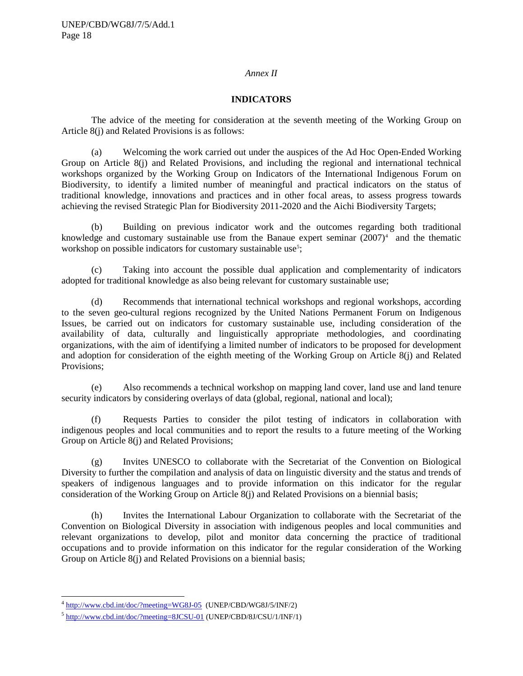#### *Annex II*

### **INDICATORS**

The advice of the meeting for consideration at the seventh meeting of the Working Group on Article 8(j) and Related Provisions is as follows:

(a) Welcoming the work carried out under the auspices of the Ad Hoc Open-Ended Working Group on Article 8(j) and Related Provisions, and including the regional and international technical workshops organized by the Working Group on Indicators of the International Indigenous Forum on Biodiversity, to identify a limited number of meaningful and practical indicators on the status of traditional knowledge, innovations and practices and in other focal areas, to assess progress towards achieving the revised Strategic Plan for Biodiversity 2011-2020 and the Aichi Biodiversity Targets;

(b) Building on previous indicator work and the outcomes regarding both traditional knowledge and customary sustainable use from the Banaue expert seminar  $(2007)^4$  and the thematic workshop on possible indicators for customary sustainable use<sup>[5](#page-17-1)</sup>;

(c) Taking into account the possible dual application and complementarity of indicators adopted for traditional knowledge as also being relevant for customary sustainable use;

(d) Recommends that international technical workshops and regional workshops, according to the seven geo-cultural regions recognized by the United Nations Permanent Forum on Indigenous Issues, be carried out on indicators for customary sustainable use, including consideration of the availability of data, culturally and linguistically appropriate methodologies, and coordinating organizations, with the aim of identifying a limited number of indicators to be proposed for development and adoption for consideration of the eighth meeting of the Working Group on Article 8(j) and Related Provisions;

(e) Also recommends a technical workshop on mapping land cover, land use and land tenure security indicators by considering overlays of data (global, regional, national and local);

(f) Requests Parties to consider the pilot testing of indicators in collaboration with indigenous peoples and local communities and to report the results to a future meeting of the Working Group on Article 8(j) and Related Provisions;

(g) Invites UNESCO to collaborate with the Secretariat of the Convention on Biological Diversity to further the compilation and analysis of data on linguistic diversity and the status and trends of speakers of indigenous languages and to provide information on this indicator for the regular consideration of the Working Group on Article 8(j) and Related Provisions on a biennial basis;

(h) Invites the International Labour Organization to collaborate with the Secretariat of the Convention on Biological Diversity in association with indigenous peoples and local communities and relevant organizations to develop, pilot and monitor data concerning the practice of traditional occupations and to provide information on this indicator for the regular consideration of the Working Group on Article 8(j) and Related Provisions on a biennial basis;

<span id="page-17-0"></span><sup>&</sup>lt;sup>4</sup> <http://www.cbd.int/doc/?meeting=WG8J-05>(UNEP/CBD/WG8J/5/INF/2)

<span id="page-17-1"></span> $5$  <http://www.cbd.int/doc/?meeting=8JCSU-01> (UNEP/CBD/8J/CSU/1/INF/1)